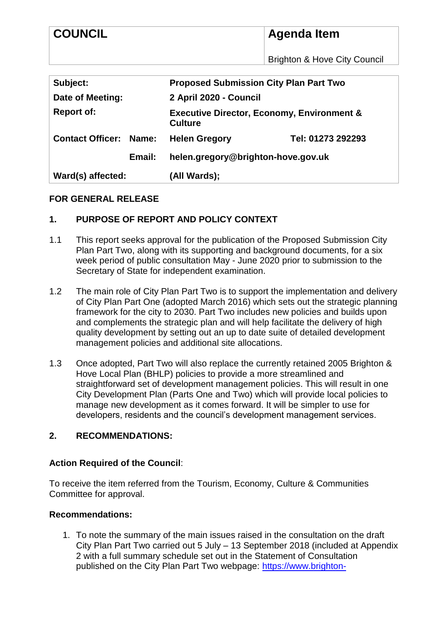| <b>COUNCIL</b>                   | Agenda Item                                                             |
|----------------------------------|-------------------------------------------------------------------------|
|                                  | <b>Brighton &amp; Hove City Council</b>                                 |
| Subject:                         | <b>Proposed Submission City Plan Part Two</b>                           |
| Date of Meeting:                 | 2 April 2020 - Council                                                  |
| <b>Report of:</b>                | <b>Executive Director, Economy, Environment &amp;</b><br><b>Culture</b> |
| <b>Contact Officer:</b><br>Name: | Tel: 01273 292293<br><b>Helen Gregory</b>                               |
| Email:                           | helen.gregory@brighton-hove.gov.uk                                      |
| Ward(s) affected:                | (All Wards);                                                            |

## **FOR GENERAL RELEASE**

### **1. PURPOSE OF REPORT AND POLICY CONTEXT**

- 1.1 This report seeks approval for the publication of the Proposed Submission City Plan Part Two, along with its supporting and background documents, for a six week period of public consultation May - June 2020 prior to submission to the Secretary of State for independent examination.
- 1.2 The main role of City Plan Part Two is to support the implementation and delivery of City Plan Part One (adopted March 2016) which sets out the strategic planning framework for the city to 2030. Part Two includes new policies and builds upon and complements the strategic plan and will help facilitate the delivery of high quality development by setting out an up to date suite of detailed development management policies and additional site allocations.
- 1.3 Once adopted, Part Two will also replace the currently retained 2005 Brighton & Hove Local Plan (BHLP) policies to provide a more streamlined and straightforward set of development management policies. This will result in one City Development Plan (Parts One and Two) which will provide local policies to manage new development as it comes forward. It will be simpler to use for developers, residents and the council's development management services.

#### **2. RECOMMENDATIONS:**

#### **Action Required of the Council**:

To receive the item referred from the Tourism, Economy, Culture & Communities Committee for approval.

#### **Recommendations:**

1. To note the summary of the main issues raised in the consultation on the draft City Plan Part Two carried out 5 July – 13 September 2018 (included at Appendix 2 with a full summary schedule set out in the Statement of Consultation published on the City Plan Part Two webpage: [https://www.brighton-](https://www.brighton-hove.gov.uk/content/planning/planning-policy/city-plan-part-two-proposed-submission-stage-2020)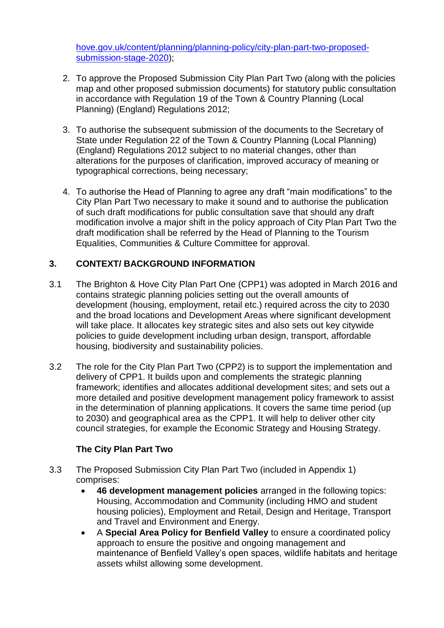[hove.gov.uk/content/planning/planning-policy/city-plan-part-two-proposed](https://www.brighton-hove.gov.uk/content/planning/planning-policy/city-plan-part-two-proposed-submission-stage-2020)[submission-stage-2020\)](https://www.brighton-hove.gov.uk/content/planning/planning-policy/city-plan-part-two-proposed-submission-stage-2020);

- 2. To approve the Proposed Submission City Plan Part Two (along with the policies map and other proposed submission documents) for statutory public consultation in accordance with Regulation 19 of the Town & Country Planning (Local Planning) (England) Regulations 2012;
- 3. To authorise the subsequent submission of the documents to the Secretary of State under Regulation 22 of the Town & Country Planning (Local Planning) (England) Regulations 2012 subject to no material changes, other than alterations for the purposes of clarification, improved accuracy of meaning or typographical corrections, being necessary;
- 4. To authorise the Head of Planning to agree any draft "main modifications" to the City Plan Part Two necessary to make it sound and to authorise the publication of such draft modifications for public consultation save that should any draft modification involve a major shift in the policy approach of City Plan Part Two the draft modification shall be referred by the Head of Planning to the Tourism Equalities, Communities & Culture Committee for approval.

# **3. CONTEXT/ BACKGROUND INFORMATION**

- 3.1 The Brighton & Hove City Plan Part One (CPP1) was adopted in March 2016 and contains strategic planning policies setting out the overall amounts of development (housing, employment, retail etc.) required across the city to 2030 and the broad locations and Development Areas where significant development will take place. It allocates key strategic sites and also sets out key citywide policies to guide development including urban design, transport, affordable housing, biodiversity and sustainability policies.
- 3.2 The role for the City Plan Part Two (CPP2) is to support the implementation and delivery of CPP1. It builds upon and complements the strategic planning framework; identifies and allocates additional development sites; and sets out a more detailed and positive development management policy framework to assist in the determination of planning applications. It covers the same time period (up to 2030) and geographical area as the CPP1. It will help to deliver other city council strategies, for example the Economic Strategy and Housing Strategy.

# **The City Plan Part Two**

- 3.3 The Proposed Submission City Plan Part Two (included in Appendix 1) comprises:
	- **46 development management policies** arranged in the following topics: Housing, Accommodation and Community (including HMO and student housing policies), Employment and Retail, Design and Heritage, Transport and Travel and Environment and Energy.
	- A **Special Area Policy for Benfield Valley** to ensure a coordinated policy approach to ensure the positive and ongoing management and maintenance of Benfield Valley's open spaces, wildlife habitats and heritage assets whilst allowing some development.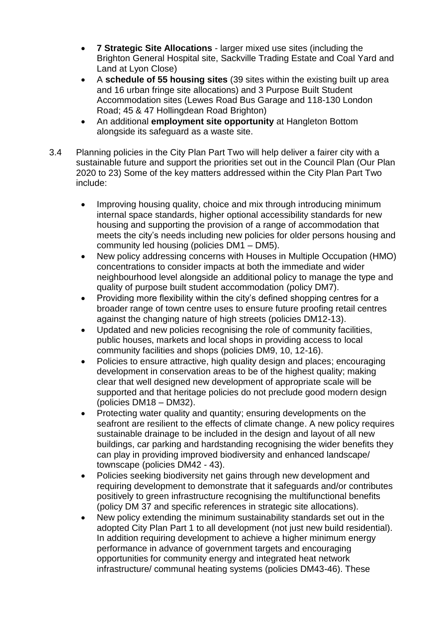- **7 Strategic Site Allocations**  larger mixed use sites (including the Brighton General Hospital site, Sackville Trading Estate and Coal Yard and Land at Lyon Close)
- A **schedule of 55 housing sites** (39 sites within the existing built up area and 16 urban fringe site allocations) and 3 Purpose Built Student Accommodation sites (Lewes Road Bus Garage and 118-130 London Road; 45 & 47 Hollingdean Road Brighton)
- An additional **employment site opportunity** at Hangleton Bottom alongside its safeguard as a waste site.
- 3.4 Planning policies in the City Plan Part Two will help deliver a fairer city with a sustainable future and support the priorities set out in the Council Plan (Our Plan 2020 to 23) Some of the key matters addressed within the City Plan Part Two include:
	- Improving housing quality, choice and mix through introducing minimum internal space standards, higher optional accessibility standards for new housing and supporting the provision of a range of accommodation that meets the city's needs including new policies for older persons housing and community led housing (policies DM1 – DM5).
	- New policy addressing concerns with Houses in Multiple Occupation (HMO) concentrations to consider impacts at both the immediate and wider neighbourhood level alongside an additional policy to manage the type and quality of purpose built student accommodation (policy DM7).
	- Providing more flexibility within the city's defined shopping centres for a broader range of town centre uses to ensure future proofing retail centres against the changing nature of high streets (policies DM12-13).
	- Updated and new policies recognising the role of community facilities, public houses, markets and local shops in providing access to local community facilities and shops (policies DM9, 10, 12-16).
	- Policies to ensure attractive, high quality design and places; encouraging development in conservation areas to be of the highest quality; making clear that well designed new development of appropriate scale will be supported and that heritage policies do not preclude good modern design (policies DM18 – DM32).
	- Protecting water quality and quantity; ensuring developments on the seafront are resilient to the effects of climate change. A new policy requires sustainable drainage to be included in the design and layout of all new buildings, car parking and hardstanding recognising the wider benefits they can play in providing improved biodiversity and enhanced landscape/ townscape (policies DM42 - 43).
	- Policies seeking biodiversity net gains through new development and requiring development to demonstrate that it safeguards and/or contributes positively to green infrastructure recognising the multifunctional benefits (policy DM 37 and specific references in strategic site allocations).
	- New policy extending the minimum sustainability standards set out in the adopted City Plan Part 1 to all development (not just new build residential). In addition requiring development to achieve a higher minimum energy performance in advance of government targets and encouraging opportunities for community energy and integrated heat network infrastructure/ communal heating systems (policies DM43-46). These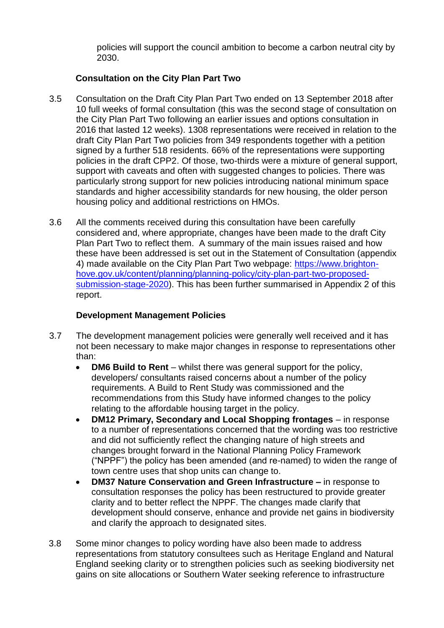policies will support the council ambition to become a carbon neutral city by 2030.

# **Consultation on the City Plan Part Two**

- 3.5 Consultation on the Draft City Plan Part Two ended on 13 September 2018 after 10 full weeks of formal consultation (this was the second stage of consultation on the City Plan Part Two following an earlier issues and options consultation in 2016 that lasted 12 weeks). 1308 representations were received in relation to the draft City Plan Part Two policies from 349 respondents together with a petition signed by a further 518 residents. 66% of the representations were supporting policies in the draft CPP2. Of those, two-thirds were a mixture of general support, support with caveats and often with suggested changes to policies. There was particularly strong support for new policies introducing national minimum space standards and higher accessibility standards for new housing, the older person housing policy and additional restrictions on HMOs.
- 3.6 All the comments received during this consultation have been carefully considered and, where appropriate, changes have been made to the draft City Plan Part Two to reflect them. A summary of the main issues raised and how these have been addressed is set out in the Statement of Consultation (appendix 4) made available on the City Plan Part Two webpage: [https://www.brighton](https://www.brighton-hove.gov.uk/content/planning/planning-policy/city-plan-part-two-proposed-submission-stage-2020)[hove.gov.uk/content/planning/planning-policy/city-plan-part-two-proposed](https://www.brighton-hove.gov.uk/content/planning/planning-policy/city-plan-part-two-proposed-submission-stage-2020)[submission-stage-2020\)](https://www.brighton-hove.gov.uk/content/planning/planning-policy/city-plan-part-two-proposed-submission-stage-2020). This has been further summarised in Appendix 2 of this report.

### **Development Management Policies**

- 3.7 The development management policies were generally well received and it has not been necessary to make major changes in response to representations other than:
	- **DM6 Build to Rent** whilst there was general support for the policy, developers/ consultants raised concerns about a number of the policy requirements. A Build to Rent Study was commissioned and the recommendations from this Study have informed changes to the policy relating to the affordable housing target in the policy.
	- **DM12 Primary, Secondary and Local Shopping frontages** in response to a number of representations concerned that the wording was too restrictive and did not sufficiently reflect the changing nature of high streets and changes brought forward in the National Planning Policy Framework ("NPPF") the policy has been amended (and re-named) to widen the range of town centre uses that shop units can change to.
	- **DM37 Nature Conservation and Green Infrastructure –** in response to consultation responses the policy has been restructured to provide greater clarity and to better reflect the NPPF. The changes made clarify that development should conserve, enhance and provide net gains in biodiversity and clarify the approach to designated sites.
- 3.8 Some minor changes to policy wording have also been made to address representations from statutory consultees such as Heritage England and Natural England seeking clarity or to strengthen policies such as seeking biodiversity net gains on site allocations or Southern Water seeking reference to infrastructure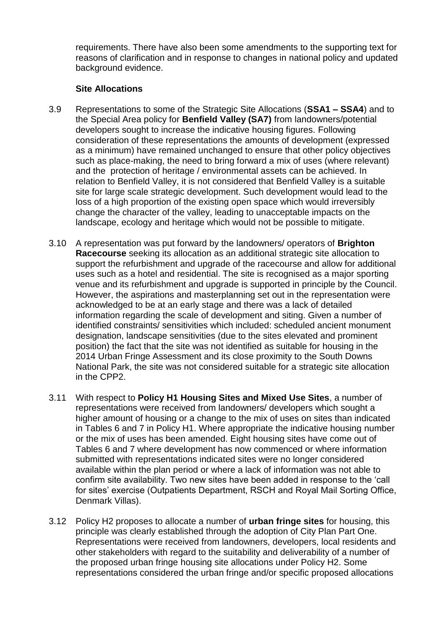requirements. There have also been some amendments to the supporting text for reasons of clarification and in response to changes in national policy and updated background evidence.

### **Site Allocations**

- 3.9 Representations to some of the Strategic Site Allocations (**SSA1 – SSA4**) and to the Special Area policy for **Benfield Valley (SA7)** from landowners/potential developers sought to increase the indicative housing figures. Following consideration of these representations the amounts of development (expressed as a minimum) have remained unchanged to ensure that other policy objectives such as place-making, the need to bring forward a mix of uses (where relevant) and the protection of heritage / environmental assets can be achieved. In relation to Benfield Valley, it is not considered that Benfield Valley is a suitable site for large scale strategic development. Such development would lead to the loss of a high proportion of the existing open space which would irreversibly change the character of the valley, leading to unacceptable impacts on the landscape, ecology and heritage which would not be possible to mitigate.
- 3.10 A representation was put forward by the landowners/ operators of **Brighton Racecourse** seeking its allocation as an additional strategic site allocation to support the refurbishment and upgrade of the racecourse and allow for additional uses such as a hotel and residential. The site is recognised as a major sporting venue and its refurbishment and upgrade is supported in principle by the Council. However, the aspirations and masterplanning set out in the representation were acknowledged to be at an early stage and there was a lack of detailed information regarding the scale of development and siting. Given a number of identified constraints/ sensitivities which included: scheduled ancient monument designation, landscape sensitivities (due to the sites elevated and prominent position) the fact that the site was not identified as suitable for housing in the 2014 Urban Fringe Assessment and its close proximity to the South Downs National Park, the site was not considered suitable for a strategic site allocation in the CPP2.
- 3.11 With respect to **Policy H1 Housing Sites and Mixed Use Sites**, a number of representations were received from landowners/ developers which sought a higher amount of housing or a change to the mix of uses on sites than indicated in Tables 6 and 7 in Policy H1. Where appropriate the indicative housing number or the mix of uses has been amended. Eight housing sites have come out of Tables 6 and 7 where development has now commenced or where information submitted with representations indicated sites were no longer considered available within the plan period or where a lack of information was not able to confirm site availability. Two new sites have been added in response to the 'call for sites' exercise (Outpatients Department, RSCH and Royal Mail Sorting Office, Denmark Villas).
- 3.12 Policy H2 proposes to allocate a number of **urban fringe sites** for housing, this principle was clearly established through the adoption of City Plan Part One. Representations were received from landowners, developers, local residents and other stakeholders with regard to the suitability and deliverability of a number of the proposed urban fringe housing site allocations under Policy H2. Some representations considered the urban fringe and/or specific proposed allocations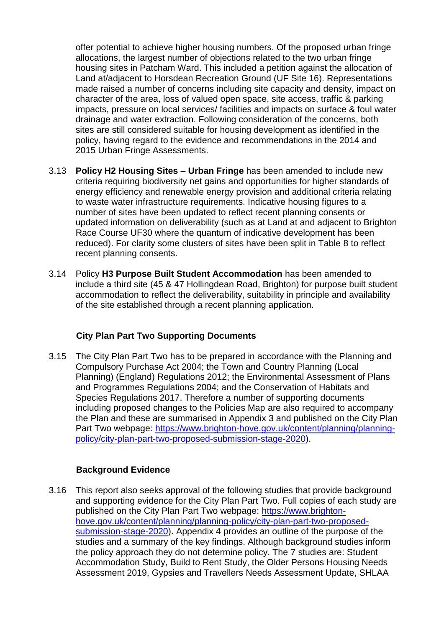offer potential to achieve higher housing numbers. Of the proposed urban fringe allocations, the largest number of objections related to the two urban fringe housing sites in Patcham Ward. This included a petition against the allocation of Land at/adjacent to Horsdean Recreation Ground (UF Site 16). Representations made raised a number of concerns including site capacity and density, impact on character of the area, loss of valued open space, site access, traffic & parking impacts, pressure on local services/ facilities and impacts on surface & foul water drainage and water extraction. Following consideration of the concerns, both sites are still considered suitable for housing development as identified in the policy, having regard to the evidence and recommendations in the 2014 and 2015 Urban Fringe Assessments.

- 3.13 **Policy H2 Housing Sites – Urban Fringe** has been amended to include new criteria requiring biodiversity net gains and opportunities for higher standards of energy efficiency and renewable energy provision and additional criteria relating to waste water infrastructure requirements. Indicative housing figures to a number of sites have been updated to reflect recent planning consents or updated information on deliverability (such as at Land at and adjacent to Brighton Race Course UF30 where the quantum of indicative development has been reduced). For clarity some clusters of sites have been split in Table 8 to reflect recent planning consents.
- 3.14 Policy **H3 Purpose Built Student Accommodation** has been amended to include a third site (45 & 47 Hollingdean Road, Brighton) for purpose built student accommodation to reflect the deliverability, suitability in principle and availability of the site established through a recent planning application.

## **City Plan Part Two Supporting Documents**

3.15 The City Plan Part Two has to be prepared in accordance with the Planning and Compulsory Purchase Act 2004; the Town and Country Planning (Local Planning) (England) Regulations 2012; the Environmental Assessment of Plans and Programmes Regulations 2004; and the Conservation of Habitats and Species Regulations 2017. Therefore a number of supporting documents including proposed changes to the Policies Map are also required to accompany the Plan and these are summarised in Appendix 3 and published on the City Plan Part Two webpage: [https://www.brighton-hove.gov.uk/content/planning/planning](https://www.brighton-hove.gov.uk/content/planning/planning-policy/city-plan-part-two-proposed-submission-stage-2020)[policy/city-plan-part-two-proposed-submission-stage-2020\)](https://www.brighton-hove.gov.uk/content/planning/planning-policy/city-plan-part-two-proposed-submission-stage-2020).

## **Background Evidence**

3.16 This report also seeks approval of the following studies that provide background and supporting evidence for the City Plan Part Two. Full copies of each study are published on the City Plan Part Two webpage: [https://www.brighton](https://www.brighton-hove.gov.uk/content/planning/planning-policy/city-plan-part-two-proposed-submission-stage-2020)[hove.gov.uk/content/planning/planning-policy/city-plan-part-two-proposed](https://www.brighton-hove.gov.uk/content/planning/planning-policy/city-plan-part-two-proposed-submission-stage-2020)[submission-stage-2020\)](https://www.brighton-hove.gov.uk/content/planning/planning-policy/city-plan-part-two-proposed-submission-stage-2020). Appendix 4 provides an outline of the purpose of the studies and a summary of the key findings. Although background studies inform the policy approach they do not determine policy. The 7 studies are: Student Accommodation Study, Build to Rent Study, the Older Persons Housing Needs Assessment 2019, Gypsies and Travellers Needs Assessment Update, SHLAA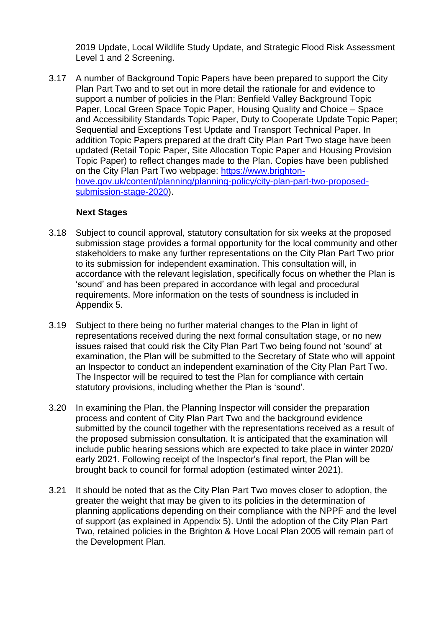2019 Update, Local Wildlife Study Update, and Strategic Flood Risk Assessment Level 1 and 2 Screening.

3.17 A number of Background Topic Papers have been prepared to support the City Plan Part Two and to set out in more detail the rationale for and evidence to support a number of policies in the Plan: Benfield Valley Background Topic Paper, Local Green Space Topic Paper, Housing Quality and Choice – Space and Accessibility Standards Topic Paper, Duty to Cooperate Update Topic Paper; Sequential and Exceptions Test Update and Transport Technical Paper. In addition Topic Papers prepared at the draft City Plan Part Two stage have been updated (Retail Topic Paper, Site Allocation Topic Paper and Housing Provision Topic Paper) to reflect changes made to the Plan. Copies have been published on the City Plan Part Two webpage: [https://www.brighton](https://www.brighton-hove.gov.uk/content/planning/planning-policy/city-plan-part-two-proposed-submission-stage-2020)[hove.gov.uk/content/planning/planning-policy/city-plan-part-two-proposed](https://www.brighton-hove.gov.uk/content/planning/planning-policy/city-plan-part-two-proposed-submission-stage-2020)[submission-stage-2020\)](https://www.brighton-hove.gov.uk/content/planning/planning-policy/city-plan-part-two-proposed-submission-stage-2020).

### **Next Stages**

- 3.18 Subject to council approval, statutory consultation for six weeks at the proposed submission stage provides a formal opportunity for the local community and other stakeholders to make any further representations on the City Plan Part Two prior to its submission for independent examination. This consultation will, in accordance with the relevant legislation, specifically focus on whether the Plan is 'sound' and has been prepared in accordance with legal and procedural requirements. More information on the tests of soundness is included in Appendix 5.
- 3.19 Subject to there being no further material changes to the Plan in light of representations received during the next formal consultation stage, or no new issues raised that could risk the City Plan Part Two being found not 'sound' at examination, the Plan will be submitted to the Secretary of State who will appoint an Inspector to conduct an independent examination of the City Plan Part Two. The Inspector will be required to test the Plan for compliance with certain statutory provisions, including whether the Plan is 'sound'.
- 3.20 In examining the Plan, the Planning Inspector will consider the preparation process and content of City Plan Part Two and the background evidence submitted by the council together with the representations received as a result of the proposed submission consultation. It is anticipated that the examination will include public hearing sessions which are expected to take place in winter 2020/ early 2021. Following receipt of the Inspector's final report, the Plan will be brought back to council for formal adoption (estimated winter 2021).
- 3.21 It should be noted that as the City Plan Part Two moves closer to adoption, the greater the weight that may be given to its policies in the determination of planning applications depending on their compliance with the NPPF and the level of support (as explained in Appendix 5). Until the adoption of the City Plan Part Two, retained policies in the Brighton & Hove Local Plan 2005 will remain part of the Development Plan.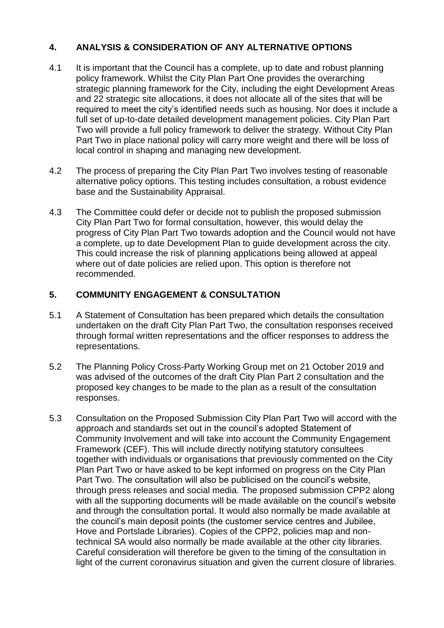# **4. ANALYSIS & CONSIDERATION OF ANY ALTERNATIVE OPTIONS**

- 4.1 It is important that the Council has a complete, up to date and robust planning policy framework. Whilst the City Plan Part One provides the overarching strategic planning framework for the City, including the eight Development Areas and 22 strategic site allocations, it does not allocate all of the sites that will be required to meet the city's identified needs such as housing. Nor does it include a full set of up-to-date detailed development management policies. City Plan Part Two will provide a full policy framework to deliver the strategy. Without City Plan Part Two in place national policy will carry more weight and there will be loss of local control in shaping and managing new development.
- 4.2 The process of preparing the City Plan Part Two involves testing of reasonable alternative policy options. This testing includes consultation, a robust evidence base and the Sustainability Appraisal.
- 4.3 The Committee could defer or decide not to publish the proposed submission City Plan Part Two for formal consultation, however, this would delay the progress of City Plan Part Two towards adoption and the Council would not have a complete, up to date Development Plan to guide development across the city. This could increase the risk of planning applications being allowed at appeal where out of date policies are relied upon. This option is therefore not recommended.

## **5. COMMUNITY ENGAGEMENT & CONSULTATION**

- 5.1 A Statement of Consultation has been prepared which details the consultation undertaken on the draft City Plan Part Two, the consultation responses received through formal written representations and the officer responses to address the representations.
- 5.2 The Planning Policy Cross-Party Working Group met on 21 October 2019 and was advised of the outcomes of the draft City Plan Part 2 consultation and the proposed key changes to be made to the plan as a result of the consultation responses.
- 5.3 Consultation on the Proposed Submission City Plan Part Two will accord with the approach and standards set out in the council's adopted Statement of Community Involvement and will take into account the Community Engagement Framework (CEF). This will include directly notifying statutory consultees together with individuals or organisations that previously commented on the City Plan Part Two or have asked to be kept informed on progress on the City Plan Part Two. The consultation will also be publicised on the council's website, through press releases and social media. The proposed submission CPP2 along with all the supporting documents will be made available on the council's website and through the consultation portal. It would also normally be made available at the council's main deposit points (the customer service centres and Jubilee, Hove and Portslade Libraries). Copies of the CPP2, policies map and nontechnical SA would also normally be made available at the other city libraries. Careful consideration will therefore be given to the timing of the consultation in light of the current coronavirus situation and given the current closure of libraries.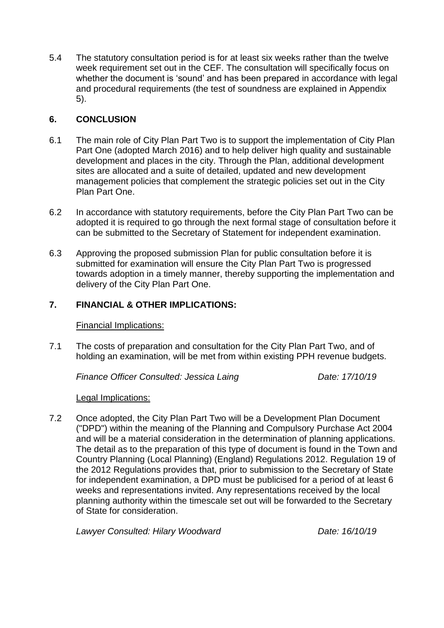5.4 The statutory consultation period is for at least six weeks rather than the twelve week requirement set out in the CEF. The consultation will specifically focus on whether the document is 'sound' and has been prepared in accordance with legal and procedural requirements (the test of soundness are explained in Appendix 5).

# **6. CONCLUSION**

- 6.1 The main role of City Plan Part Two is to support the implementation of City Plan Part One (adopted March 2016) and to help deliver high quality and sustainable development and places in the city. Through the Plan, additional development sites are allocated and a suite of detailed, updated and new development management policies that complement the strategic policies set out in the City Plan Part One.
- 6.2 In accordance with statutory requirements, before the City Plan Part Two can be adopted it is required to go through the next formal stage of consultation before it can be submitted to the Secretary of Statement for independent examination.
- 6.3 Approving the proposed submission Plan for public consultation before it is submitted for examination will ensure the City Plan Part Two is progressed towards adoption in a timely manner, thereby supporting the implementation and delivery of the City Plan Part One.

## **7. FINANCIAL & OTHER IMPLICATIONS:**

Financial Implications:

7.1 The costs of preparation and consultation for the City Plan Part Two, and of holding an examination, will be met from within existing PPH revenue budgets.

*Finance Officer Consulted: Jessica Laing Date: 17/10/19*

Legal Implications:

7.2 Once adopted, the City Plan Part Two will be a Development Plan Document ("DPD") within the meaning of the Planning and Compulsory Purchase Act 2004 and will be a material consideration in the determination of planning applications. The detail as to the preparation of this type of document is found in the Town and Country Planning (Local Planning) (England) Regulations 2012. Regulation 19 of the 2012 Regulations provides that, prior to submission to the Secretary of State for independent examination, a DPD must be publicised for a period of at least 6 weeks and representations invited. Any representations received by the local planning authority within the timescale set out will be forwarded to the Secretary of State for consideration.

*Lawyer Consulted: Hilary Woodward Date: 16/10/19*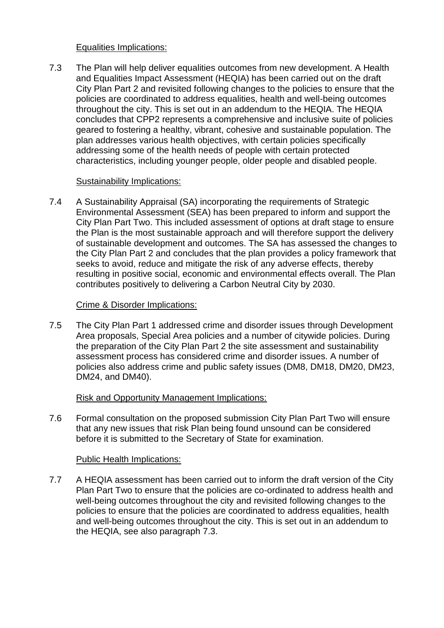### Equalities Implications:

7.3 The Plan will help deliver equalities outcomes from new development. A Health and Equalities Impact Assessment (HEQIA) has been carried out on the draft City Plan Part 2 and revisited following changes to the policies to ensure that the policies are coordinated to address equalities, health and well-being outcomes throughout the city. This is set out in an addendum to the HEQIA. The HEQIA concludes that CPP2 represents a comprehensive and inclusive suite of policies geared to fostering a healthy, vibrant, cohesive and sustainable population. The plan addresses various health objectives, with certain policies specifically addressing some of the health needs of people with certain protected characteristics, including younger people, older people and disabled people.

## Sustainability Implications:

7.4 A Sustainability Appraisal (SA) incorporating the requirements of Strategic Environmental Assessment (SEA) has been prepared to inform and support the City Plan Part Two. This included assessment of options at draft stage to ensure the Plan is the most sustainable approach and will therefore support the delivery of sustainable development and outcomes. The SA has assessed the changes to the City Plan Part 2 and concludes that the plan provides a policy framework that seeks to avoid, reduce and mitigate the risk of any adverse effects, thereby resulting in positive social, economic and environmental effects overall. The Plan contributes positively to delivering a Carbon Neutral City by 2030.

## Crime & Disorder Implications:

7.5 The City Plan Part 1 addressed crime and disorder issues through Development Area proposals, Special Area policies and a number of citywide policies. During the preparation of the City Plan Part 2 the site assessment and sustainability assessment process has considered crime and disorder issues. A number of policies also address crime and public safety issues (DM8, DM18, DM20, DM23, DM24, and DM40).

#### Risk and Opportunity Management Implications:

7.6 Formal consultation on the proposed submission City Plan Part Two will ensure that any new issues that risk Plan being found unsound can be considered before it is submitted to the Secretary of State for examination.

#### Public Health Implications:

7.7 A HEQIA assessment has been carried out to inform the draft version of the City Plan Part Two to ensure that the policies are co-ordinated to address health and well-being outcomes throughout the city and revisited following changes to the policies to ensure that the policies are coordinated to address equalities, health and well-being outcomes throughout the city. This is set out in an addendum to the HEQIA, see also paragraph 7.3.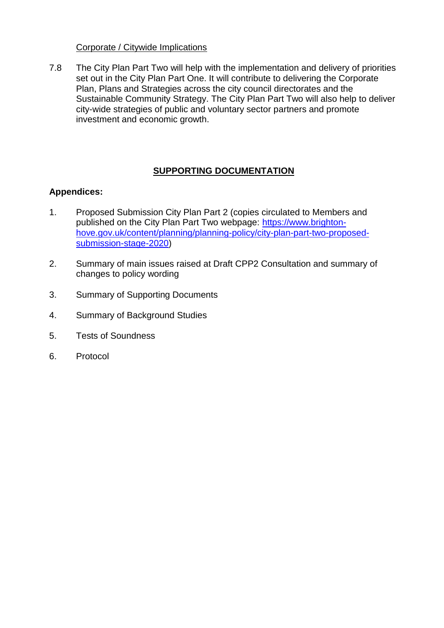### Corporate / Citywide Implications

7.8 The City Plan Part Two will help with the implementation and delivery of priorities set out in the City Plan Part One. It will contribute to delivering the Corporate Plan, Plans and Strategies across the city council directorates and the Sustainable Community Strategy. The City Plan Part Two will also help to deliver city-wide strategies of public and voluntary sector partners and promote investment and economic growth.

# **SUPPORTING DOCUMENTATION**

## **Appendices:**

- 1. Proposed Submission City Plan Part 2 (copies circulated to Members and published on the City Plan Part Two webpage: [https://www.brighton](https://www.brighton-hove.gov.uk/content/planning/planning-policy/city-plan-part-two-proposed-submission-stage-2020)[hove.gov.uk/content/planning/planning-policy/city-plan-part-two-proposed](https://www.brighton-hove.gov.uk/content/planning/planning-policy/city-plan-part-two-proposed-submission-stage-2020)[submission-stage-2020\)](https://www.brighton-hove.gov.uk/content/planning/planning-policy/city-plan-part-two-proposed-submission-stage-2020)
- 2. Summary of main issues raised at Draft CPP2 Consultation and summary of changes to policy wording
- 3. Summary of Supporting Documents
- 4. Summary of Background Studies
- 5. Tests of Soundness
- 6. Protocol